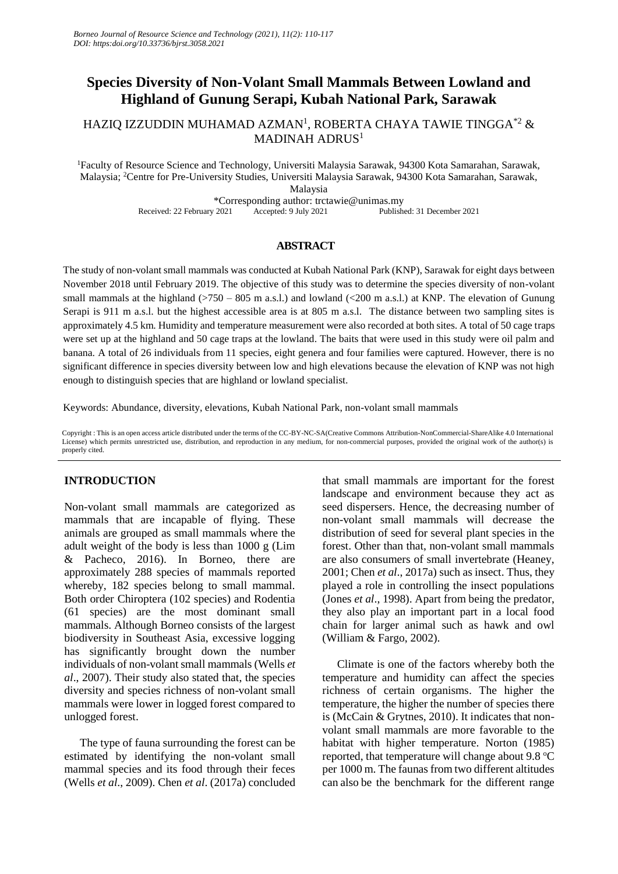# **Species Diversity of Non-Volant Small Mammals Between Lowland and Highland of Gunung Serapi, Kubah National Park, Sarawak**

HAZIQ IZZUDDIN MUHAMAD AZMAN $^{\rm l}$ , ROBERTA CHAYA TAWIE TINGGA $^{\ast}{}2\;\&$ MADINAH ADRUS<sup>1</sup>

<sup>1</sup>Faculty of Resource Science and Technology, Universiti Malaysia Sarawak, 94300 Kota Samarahan, Sarawak, Malaysia; <sup>2</sup>Centre for Pre-University Studies, Universiti Malaysia Sarawak, 94300 Kota Samarahan, Sarawak, Malaysia

\*Corresponding author: trctawie@unimas.my Received: 22 February 2021 Accepted: 9 July 2021

## **ABSTRACT**

The study of non-volant small mammals was conducted at Kubah National Park (KNP), Sarawak for eight days between November 2018 until February 2019. The objective of this study was to determine the species diversity of non-volant small mammals at the highland ( $>750 - 805$  m a.s.l.) and lowland ( $< 200$  m a.s.l.) at KNP. The elevation of Gunung Serapi is 911 m a.s.l. but the highest accessible area is at 805 m a.s.l. The distance between two sampling sites is approximately 4.5 km. Humidity and temperature measurement were also recorded at both sites. A total of 50 cage traps were set up at the highland and 50 cage traps at the lowland. The baits that were used in this study were oil palm and banana. A total of 26 individuals from 11 species, eight genera and four families were captured. However, there is no significant difference in species diversity between low and high elevations because the elevation of KNP was not high enough to distinguish species that are highland or lowland specialist.

Keywords: Abundance, diversity, elevations, Kubah National Park, non-volant small mammals

Copyright : This is an open access article distributed under the terms of the CC-BY-NC-SA(Creative Commons Attribution-NonCommercial-ShareAlike 4.0 International License) which permits unrestricted use, distribution, and reproduction in any medium, for non-commercial purposes, provided the original work of the author(s) is properly cited.

# **INTRODUCTION**

Non-volant small mammals are categorized as mammals that are incapable of flying. These animals are grouped as small mammals where the adult weight of the body is less than 1000 g (Lim & Pacheco, 2016). In Borneo, there are approximately 288 species of mammals reported whereby, 182 species belong to small mammal. Both order Chiroptera (102 species) and Rodentia (61 species) are the most dominant small mammals. Although Borneo consists of the largest biodiversity in Southeast Asia, excessive logging has significantly brought down the number individuals of non-volant small mammals (Wells *et al*., 2007). Their study also stated that, the species diversity and species richness of non-volant small mammals were lower in logged forest compared to unlogged forest.

The type of fauna surrounding the forest can be estimated by identifying the non-volant small mammal species and its food through their feces (Wells *et al*., 2009). Chen *et al*. (2017a) concluded that small mammals are important for the forest landscape and environment because they act as seed dispersers. Hence, the decreasing number of non-volant small mammals will decrease the distribution of seed for several plant species in the forest. Other than that, non-volant small mammals are also consumers of small invertebrate (Heaney, 2001; Chen *et al*., 2017a) such as insect. Thus, they played a role in controlling the insect populations (Jones *et al*., 1998). Apart from being the predator, they also play an important part in a local food chain for larger animal such as hawk and owl (William & Fargo, 2002).

Climate is one of the factors whereby both the temperature and humidity can affect the species richness of certain organisms. The higher the temperature, the higher the number of species there is (McCain & Grytnes, 2010). It indicates that nonvolant small mammals are more favorable to the habitat with higher temperature. Norton (1985) reported, that temperature will change about 9.8  $\degree$ C per 1000 m. The faunas from two different altitudes can also be the benchmark for the different range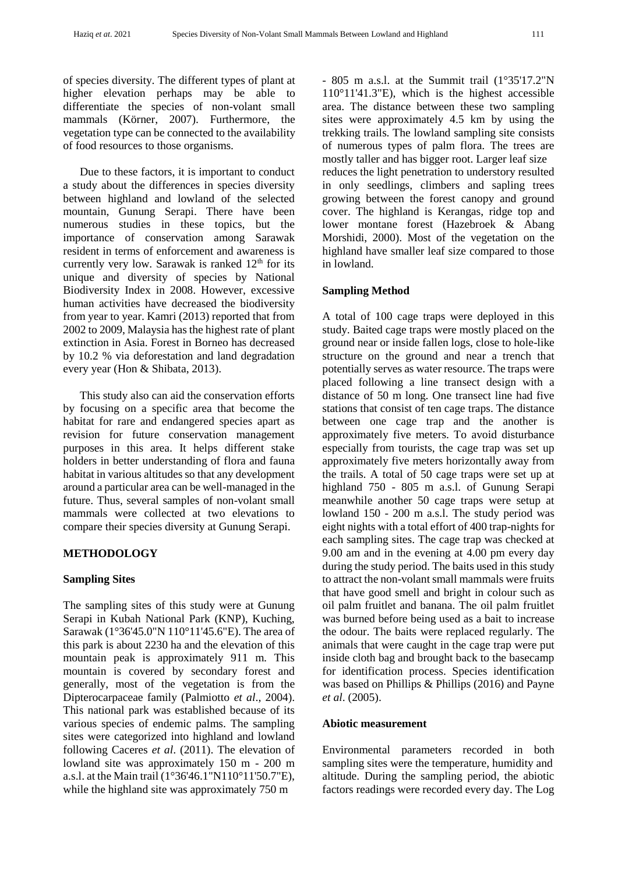of species diversity. The different types of plant at higher elevation perhaps may be able to differentiate the species of non-volant small mammals (Körner, 2007). Furthermore, the vegetation type can be connected to the availability of food resources to those organisms.

Due to these factors, it is important to conduct a study about the differences in species diversity between highland and lowland of the selected mountain, Gunung Serapi. There have been numerous studies in these topics, but the importance of conservation among Sarawak resident in terms of enforcement and awareness is currently very low. Sarawak is ranked  $12<sup>th</sup>$  for its unique and diversity of species by National Biodiversity Index in 2008. However, excessive human activities have decreased the biodiversity from year to year. Kamri (2013) reported that from 2002 to 2009, Malaysia has the highest rate of plant extinction in Asia. Forest in Borneo has decreased by 10.2 % via deforestation and land degradation every year (Hon & Shibata, 2013).

This study also can aid the conservation efforts by focusing on a specific area that become the habitat for rare and endangered species apart as revision for future conservation management purposes in this area. It helps different stake holders in better understanding of flora and fauna habitat in various altitudes so that any development around a particular area can be well-managed in the future. Thus, several samples of non-volant small mammals were collected at two elevations to compare their species diversity at Gunung Serapi.

## **METHODOLOGY**

## **Sampling Sites**

The sampling sites of this study were at Gunung Serapi in Kubah National Park (KNP), Kuching, Sarawak (1°36'45.0"N 110°11'45.6"E). The area of this park is about 2230 ha and the elevation of this mountain peak is approximately 911 m. This mountain is covered by secondary forest and generally, most of the vegetation is from the Dipterocarpaceae family (Palmiotto *et al*., 2004). This national park was established because of its various species of endemic palms. The sampling sites were categorized into highland and lowland following Caceres *et al*. (2011). The elevation of lowland site was approximately 150 m - 200 m a.s.l. at the Main trail (1°36'46.1"N110°11'50.7"E), while the highland site was approximately 750 m

- 805 m a.s.l. at the Summit trail (1°35'17.2"N 110°11'41.3"E), which is the highest accessible area. The distance between these two sampling sites were approximately 4.5 km by using the trekking trails. The lowland sampling site consists of numerous types of palm flora. The trees are mostly taller and has bigger root. Larger leaf size reduces the light penetration to understory resulted in only seedlings, climbers and sapling trees growing between the forest canopy and ground cover. The highland is Kerangas, ridge top and lower montane forest (Hazebroek & Abang Morshidi, 2000). Most of the vegetation on the highland have smaller leaf size compared to those in lowland.

#### **Sampling Method**

A total of 100 cage traps were deployed in this study. Baited cage traps were mostly placed on the ground near or inside fallen logs, close to hole-like structure on the ground and near a trench that potentially serves as water resource. The traps were placed following a line transect design with a distance of 50 m long. One transect line had five stations that consist of ten cage traps. The distance between one cage trap and the another is approximately five meters. To avoid disturbance especially from tourists, the cage trap was set up approximately five meters horizontally away from the trails. A total of 50 cage traps were set up at highland 750 - 805 m a.s.l. of Gunung Serapi meanwhile another 50 cage traps were setup at lowland 150 - 200 m a.s.l. The study period was eight nights with a total effort of 400 trap-nights for each sampling sites. The cage trap was checked at 9.00 am and in the evening at 4.00 pm every day during the study period. The baits used in this study to attract the non-volant small mammals were fruits that have good smell and bright in colour such as oil palm fruitlet and banana. The oil palm fruitlet was burned before being used as a bait to increase the odour. The baits were replaced regularly. The animals that were caught in the cage trap were put inside cloth bag and brought back to the basecamp for identification process. Species identification was based on Phillips & Phillips (2016) and Payne *et al*. (2005).

## **Abiotic measurement**

Environmental parameters recorded in both sampling sites were the temperature, humidity and altitude. During the sampling period, the abiotic factors readings were recorded every day. The Log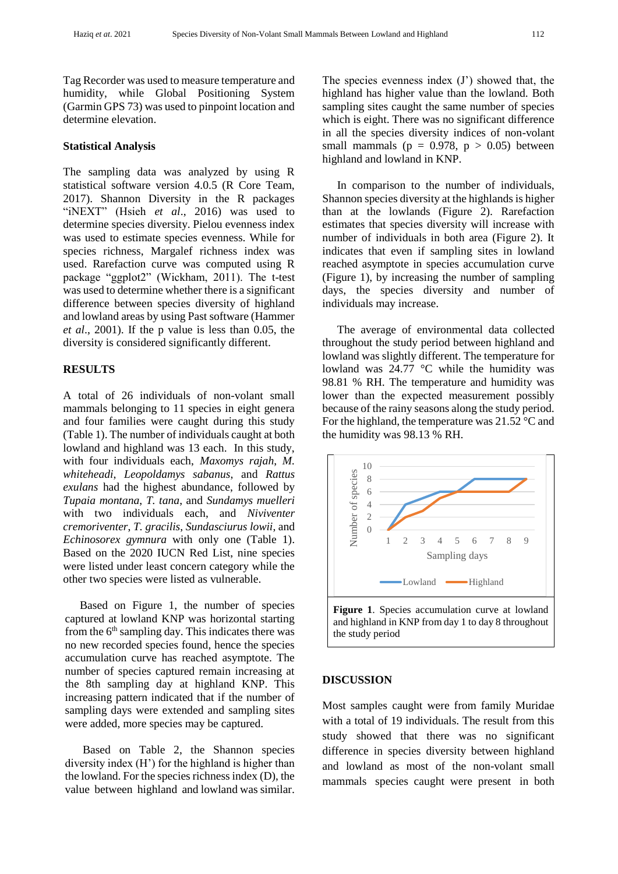Tag Recorder was used to measure temperature and humidity, while Global Positioning System (Garmin GPS 73) was used to pinpoint location and determine elevation.

#### **Statistical Analysis**

The sampling data was analyzed by using R statistical software version 4.0.5 (R Core Team, 2017). Shannon Diversity in the R packages "iNEXT" (Hsieh *et al*., 2016) was used to determine species diversity. Pielou evenness index was used to estimate species evenness. While for species richness, Margalef richness index was used. Rarefaction curve was computed using R package "ggplot2" (Wickham, 2011). The t-test was used to determine whether there is a significant difference between species diversity of highland and lowland areas by using Past software (Hammer *et al*., 2001). If the p value is less than 0.05, the diversity is considered significantly different.

## **RESULTS**

A total of 26 individuals of non-volant small mammals belonging to 11 species in eight genera and four families were caught during this study (Table 1). The number of individuals caught at both lowland and highland was 13 each. In this study, with four individuals each, *Maxomys rajah*, *M. whiteheadi*, *Leopoldamys sabanus*, and *Rattus exulans* had the highest abundance, followed by *Tupaia montana*, *T. tana*, and *Sundamys muelleri* with two individuals each, and *Niviventer cremoriventer*, *T. gracilis*, *Sundasciurus lowii*, and *Echinosorex gymnura* with only one (Table 1). Based on the 2020 IUCN Red List, nine species were listed under least concern category while the other two species were listed as vulnerable.

Based on Figure 1, the number of species captured at lowland KNP was horizontal starting from the  $6<sup>th</sup>$  sampling day. This indicates there was no new recorded species found, hence the species accumulation curve has reached asymptote. The number of species captured remain increasing at the 8th sampling day at highland KNP. This increasing pattern indicated that if the number of sampling days were extended and sampling sites were added, more species may be captured.

Based on Table 2, the Shannon species diversity index (H') for the highland is higher than the lowland. For the species richness index (D), the value between highland and lowland was similar. The species evenness index (J') showed that, the highland has higher value than the lowland. Both sampling sites caught the same number of species which is eight. There was no significant difference in all the species diversity indices of non-volant small mammals ( $p = 0.978$ ,  $p > 0.05$ ) between highland and lowland in KNP.

In comparison to the number of individuals, Shannon species diversity at the highlands is higher than at the lowlands (Figure 2). Rarefaction estimates that species diversity will increase with number of individuals in both area (Figure 2). It indicates that even if sampling sites in lowland reached asymptote in species accumulation curve (Figure 1), by increasing the number of sampling days, the species diversity and number of individuals may increase.

The average of environmental data collected throughout the study period between highland and lowland was slightly different. The temperature for lowland was 24.77 °C while the humidity was 98.81 % RH. The temperature and humidity was lower than the expected measurement possibly because of the rainy seasons along the study period. For the highland, the temperature was 21.52 °C and the humidity was 98.13 % RH.



#### **DISCUSSION**

Most samples caught were from family Muridae with a total of 19 individuals. The result from this study showed that there was no significant difference in species diversity between highland and lowland as most of the non-volant small mammals species caught were present in both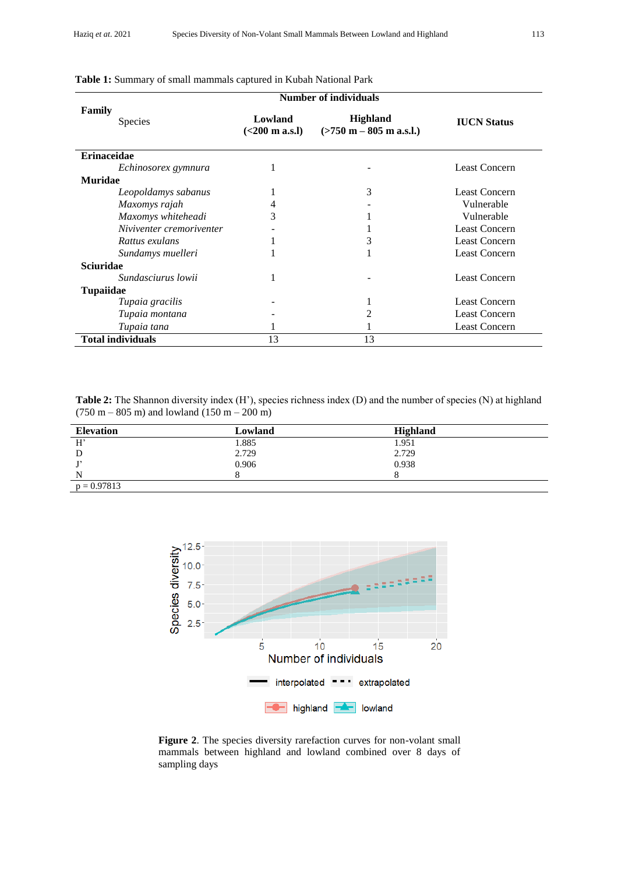|                          | <b>Number of individuals</b> |                                               |                      |
|--------------------------|------------------------------|-----------------------------------------------|----------------------|
| Family<br><b>Species</b> | Lowland<br>(<200 m a.s.1)    | <b>Highland</b><br>$($ >750 m – 805 m a.s.l.) | <b>IUCN</b> Status   |
| <b>Erinaceidae</b>       |                              |                                               |                      |
| Echinosorex gymnura      |                              |                                               | <b>Least Concern</b> |
| Muridae                  |                              |                                               |                      |
| Leopoldamys sabanus      |                              | 3                                             | <b>Least Concern</b> |
| Maxomys rajah            |                              |                                               | Vulnerable           |
| Maxomys whiteheadi       | 3                            |                                               | Vulnerable           |
| Niviventer cremoriventer |                              |                                               | <b>Least Concern</b> |
| Rattus exulans           |                              | 3                                             | <b>Least Concern</b> |
| Sundamys muelleri        |                              |                                               | <b>Least Concern</b> |
| <b>Sciuridae</b>         |                              |                                               |                      |
| Sundasciurus lowii       |                              |                                               | <b>Least Concern</b> |
| <b>Tupaiidae</b>         |                              |                                               |                      |
| Tupaia gracilis          |                              | ı                                             | <b>Least Concern</b> |
| Tupaia montana           |                              | 2                                             | <b>Least Concern</b> |
| Tupaia tana              |                              |                                               | <b>Least Concern</b> |
| <b>Total individuals</b> | 13                           | 13                                            |                      |

**Table 1:** Summary of small mammals captured in Kubah National Park

**Table 2:** The Shannon diversity index (H'), species richness index (D) and the number of species (N) at highland  $(750 \text{ m} - 805 \text{ m})$  and lowland  $(150 \text{ m} - 200 \text{ m})$ 

| <b>Elevation</b> | Lowland | <b>Highland</b> |  |
|------------------|---------|-----------------|--|
| H'               | 1.885   | 1.951           |  |
| D                | 2.729   | 2.729           |  |
|                  | 0.906   | 0.938           |  |
| N                |         |                 |  |
| $p = 0.97813$    |         |                 |  |



**Figure 2**. The species diversity rarefaction curves for non-volant small mammals between highland and lowland combined over 8 days of sampling days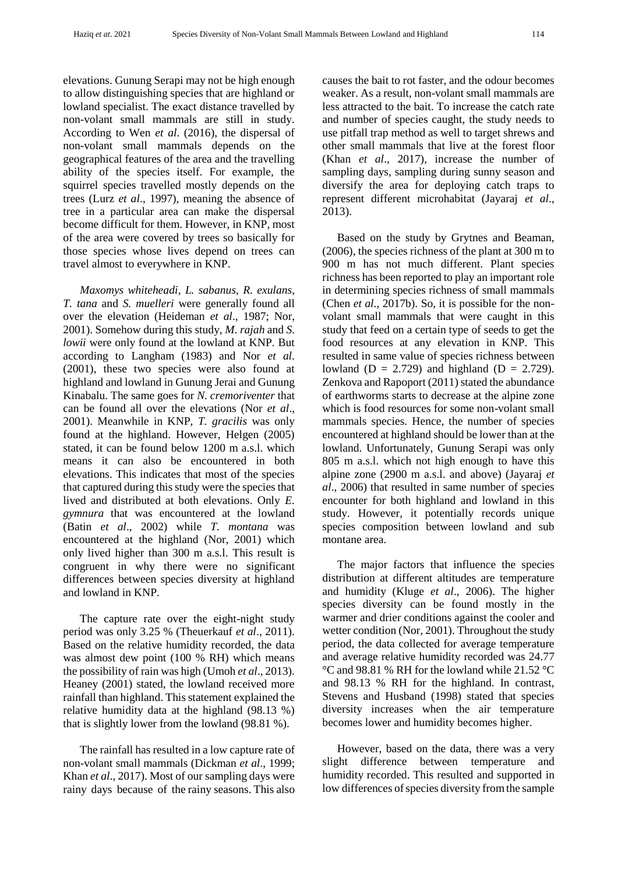elevations. Gunung Serapi may not be high enough to allow distinguishing species that are highland or lowland specialist. The exact distance travelled by non-volant small mammals are still in study. According to Wen *et al*. (2016), the dispersal of non-volant small mammals depends on the geographical features of the area and the travelling ability of the species itself. For example, the squirrel species travelled mostly depends on the trees (Lurz *et al*., 1997), meaning the absence of tree in a particular area can make the dispersal become difficult for them. However, in KNP, most of the area were covered by trees so basically for those species whose lives depend on trees can travel almost to everywhere in KNP.

*Maxomys whiteheadi*, *L. sabanus*, *R. exulans*, *T. tana* and *S. muelleri* were generally found all over the elevation (Heideman *et al*., 1987; Nor, 2001). Somehow during this study, *M*. *rajah* and *S*. *lowii* were only found at the lowland at KNP. But according to Langham (1983) and Nor *et al*. (2001), these two species were also found at highland and lowland in Gunung Jerai and Gunung Kinabalu. The same goes for *N. cremoriventer* that can be found all over the elevations (Nor *et al*., 2001). Meanwhile in KNP, *T. gracilis* was only found at the highland. However, Helgen (2005) stated, it can be found below 1200 m a.s.l. which means it can also be encountered in both elevations. This indicates that most of the species that captured during this study were the species that lived and distributed at both elevations. Only *E. gymnura* that was encountered at the lowland (Batin *et al*., 2002) while *T. montana* was encountered at the highland (Nor, 2001) which only lived higher than 300 m a.s.l. This result is congruent in why there were no significant differences between species diversity at highland and lowland in KNP.

The capture rate over the eight-night study period was only 3.25 % (Theuerkauf *et al*., 2011). Based on the relative humidity recorded, the data was almost dew point (100 % RH) which means the possibility of rain was high (Umoh *et al*., 2013). Heaney (2001) stated, the lowland received more rainfall than highland. This statement explained the relative humidity data at the highland (98.13 %) that is slightly lower from the lowland (98.81 %).

The rainfall has resulted in a low capture rate of non-volant small mammals (Dickman *et al*., 1999; Khan *et al*., 2017). Most of our sampling days were rainy days because of the rainy seasons. This also causes the bait to rot faster, and the odour becomes weaker. As a result, non-volant small mammals are less attracted to the bait. To increase the catch rate and number of species caught, the study needs to use pitfall trap method as well to target shrews and other small mammals that live at the forest floor (Khan *et al*., 2017), increase the number of sampling days, sampling during sunny season and diversify the area for deploying catch traps to represent different microhabitat (Jayaraj *et al*., 2013).

Based on the study by Grytnes and Beaman, (2006), the species richness of the plant at 300 m to 900 m has not much different. Plant species richness has been reported to play an important role in determining species richness of small mammals (Chen *et al*., 2017b). So, it is possible for the nonvolant small mammals that were caught in this study that feed on a certain type of seeds to get the food resources at any elevation in KNP. This resulted in same value of species richness between lowland ( $D = 2.729$ ) and highland ( $D = 2.729$ ). Zenkova and Rapoport (2011) stated the abundance of earthworms starts to decrease at the alpine zone which is food resources for some non-volant small mammals species. Hence, the number of species encountered at highland should be lower than at the lowland. Unfortunately, Gunung Serapi was only 805 m a.s.l. which not high enough to have this alpine zone (2900 m a.s.l. and above) (Jayaraj *et al*., 2006) that resulted in same number of species encounter for both highland and lowland in this study. However, it potentially records unique species composition between lowland and sub montane area.

The major factors that influence the species distribution at different altitudes are temperature and humidity (Kluge *et al*., 2006). The higher species diversity can be found mostly in the warmer and drier conditions against the cooler and wetter condition (Nor, 2001). Throughout the study period, the data collected for average temperature and average relative humidity recorded was 24.77 °C and 98.81 % RH for the lowland while 21.52 °C and 98.13 % RH for the highland. In contrast, Stevens and Husband (1998) stated that species diversity increases when the air temperature becomes lower and humidity becomes higher.

However, based on the data, there was a very slight difference between temperature and humidity recorded. This resulted and supported in low differences of species diversity from the sample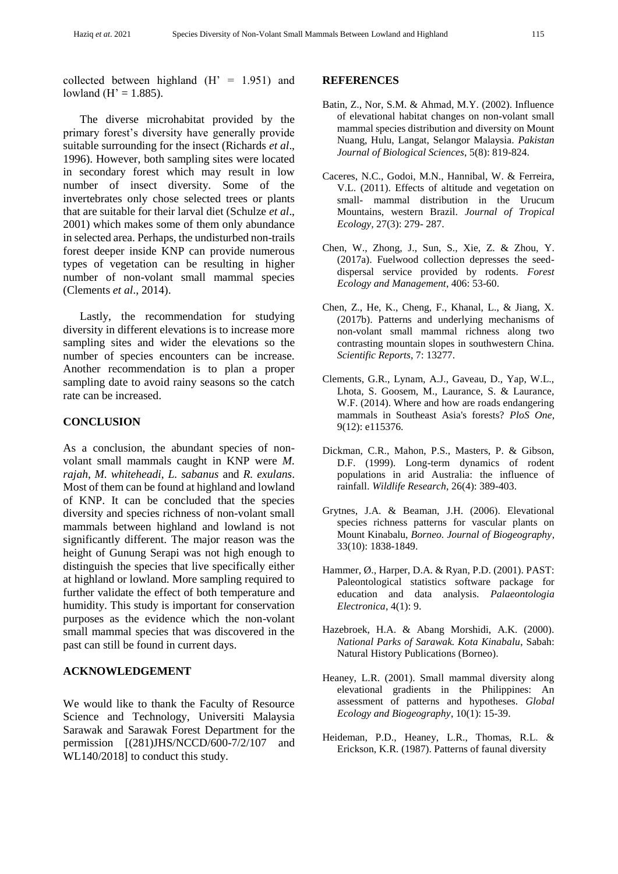collected between highland  $(H' = 1.951)$  and lowland ( $H' = 1.885$ ).

The diverse microhabitat provided by the primary forest's diversity have generally provide suitable surrounding for the insect (Richards *et al*., 1996). However, both sampling sites were located in secondary forest which may result in low number of insect diversity. Some of the invertebrates only chose selected trees or plants that are suitable for their larval diet (Schulze *et al*., 2001) which makes some of them only abundance in selected area. Perhaps, the undisturbed non-trails forest deeper inside KNP can provide numerous types of vegetation can be resulting in higher number of non-volant small mammal species (Clements *et al*., 2014).

Lastly, the recommendation for studying diversity in different elevations is to increase more sampling sites and wider the elevations so the number of species encounters can be increase. Another recommendation is to plan a proper sampling date to avoid rainy seasons so the catch rate can be increased.

#### **CONCLUSION**

As a conclusion, the abundant species of nonvolant small mammals caught in KNP were *M. rajah*, *M. whiteheadi*, *L. sabanus* and *R. exulans*. Most of them can be found at highland and lowland of KNP. It can be concluded that the species diversity and species richness of non-volant small mammals between highland and lowland is not significantly different. The major reason was the height of Gunung Serapi was not high enough to distinguish the species that live specifically either at highland or lowland. More sampling required to further validate the effect of both temperature and humidity. This study is important for conservation purposes as the evidence which the non-volant small mammal species that was discovered in the past can still be found in current days.

## **ACKNOWLEDGEMENT**

We would like to thank the Faculty of Resource Science and Technology, Universiti Malaysia Sarawak and Sarawak Forest Department for the permission [(281)JHS/NCCD/600-7/2/107 and WL140/2018] to conduct this study.

#### **REFERENCES**

- Batin, Z., Nor, S.M. & Ahmad, M.Y. (2002). Influence of elevational habitat changes on non-volant small mammal species distribution and diversity on Mount Nuang, Hulu, Langat, Selangor Malaysia. *Pakistan Journal of Biological Sciences*, 5(8): 819-824.
- Caceres, N.C., Godoi, M.N., Hannibal, W. & Ferreira, V.L. (2011). Effects of altitude and vegetation on small- mammal distribution in the Urucum Mountains, western Brazil. *Journal of Tropical Ecology,* 27(3): 279- 287.
- Chen, W., Zhong, J., Sun, S., Xie, Z. & Zhou, Y. (2017a). Fuelwood collection depresses the seeddispersal service provided by rodents. *Forest Ecology and Management*, 406: 53-60.
- Chen, Z., He, K., Cheng, F., Khanal, L., & Jiang, X. (2017b). Patterns and underlying mechanisms of non-volant small mammal richness along two contrasting mountain slopes in southwestern China. *Scientific Reports*, 7: 13277.
- Clements, G.R., Lynam, A.J., Gaveau, D., Yap, W.L., Lhota, S. Goosem, M., Laurance, S. & Laurance, W.F. (2014). Where and how are roads endangering mammals in Southeast Asia's forests? *PloS One*, 9(12): e115376.
- Dickman, C.R., Mahon, P.S., Masters, P. & Gibson, D.F. (1999). Long-term dynamics of rodent populations in arid Australia: the influence of rainfall. *Wildlife Research*, 26(4): 389-403.
- Grytnes, J.A. & Beaman, J.H. (2006). Elevational species richness patterns for vascular plants on Mount Kinabalu, *Borneo. Journal of Biogeography*, 33(10): 1838-1849.
- Hammer, Ø., Harper, D.A. & Ryan, P.D. (2001). PAST: Paleontological statistics software package for education and data analysis. *Palaeontologia Electronica*, 4(1): 9.
- Hazebroek, H.A. & Abang Morshidi, A.K. (2000). *National Parks of Sarawak. Kota Kinabalu*, Sabah: Natural History Publications (Borneo).
- Heaney, L.R. (2001). Small mammal diversity along elevational gradients in the Philippines: An assessment of patterns and hypotheses. *Global Ecology and Biogeography*, 10(1): 15-39.
- Heideman, P.D., Heaney, L.R., Thomas, R.L. & Erickson, K.R. (1987). Patterns of faunal diversity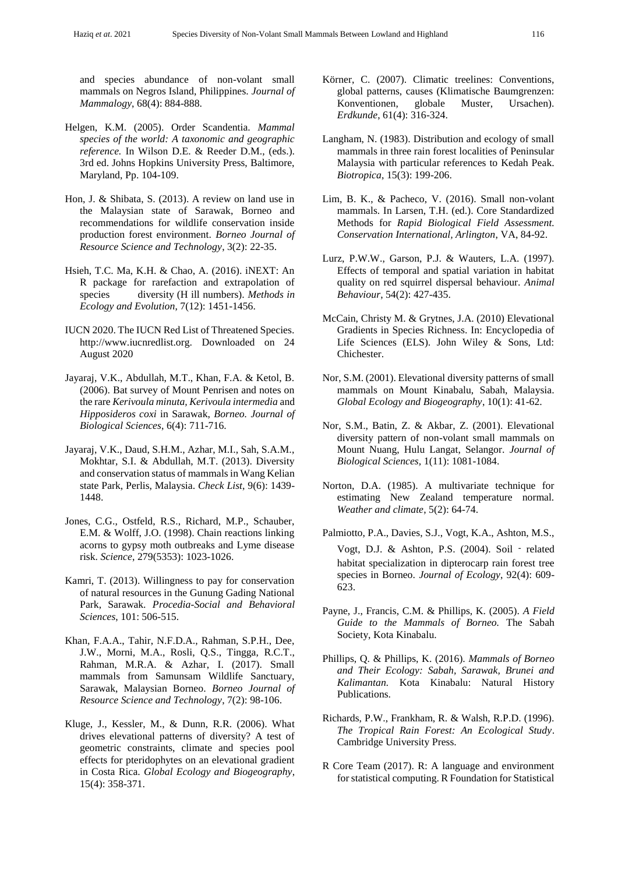and species abundance of non-volant small mammals on Negros Island, Philippines. *Journal of Mammalogy*, 68(4): 884-888.

- Helgen, K.M. (2005). Order Scandentia. *Mammal species of the world: A taxonomic and geographic reference.* In Wilson D.E. & Reeder D.M., (eds.). 3rd ed. Johns Hopkins University Press, Baltimore, Maryland, Pp. 104-109.
- Hon, J. & Shibata, S. (2013). A review on land use in the Malaysian state of Sarawak, Borneo and recommendations for wildlife conservation inside production forest environment. *Borneo Journal of Resource Science and Technology*, 3(2): 22-35.
- Hsieh, T.C. Ma, K.H. & Chao, A. (2016). iNEXT: An R package for rarefaction and extrapolation of species diversity (H ill numbers). *Methods in Ecology and Evolution*, 7(12): 1451-1456.
- IUCN 2020. The IUCN Red List of Threatened Species. http://www.iucnredlist.org. Downloaded on 24 August 2020
- Jayaraj, V.K., Abdullah, M.T., Khan, F.A. & Ketol, B. (2006). Bat survey of Mount Penrisen and notes on the rare *Kerivoula minuta, Kerivoula intermedia* and *Hipposideros coxi* in Sarawak, *Borneo. Journal of Biological Sciences*, 6(4): 711-716.
- Jayaraj, V.K., Daud, S.H.M., Azhar, M.I., Sah, S.A.M., Mokhtar, S.I. & Abdullah, M.T. (2013). Diversity and conservation status of mammals in Wang Kelian state Park, Perlis, Malaysia. *Check List*, 9(6): 1439- 1448.
- Jones, C.G., Ostfeld, R.S., Richard, M.P., Schauber, E.M. & Wolff, J.O. (1998). Chain reactions linking acorns to gypsy moth outbreaks and Lyme disease risk. *Science*, 279(5353): 1023-1026.
- Kamri, T. (2013). Willingness to pay for conservation of natural resources in the Gunung Gading National Park, Sarawak. *Procedia-Social and Behavioral Sciences*, 101: 506-515.
- Khan, F.A.A., Tahir, N.F.D.A., Rahman, S.P.H., Dee, J.W., Morni, M.A., Rosli, Q.S., Tingga, R.C.T., Rahman, M.R.A. & Azhar, I. (2017). Small mammals from Samunsam Wildlife Sanctuary, Sarawak, Malaysian Borneo. *Borneo Journal of Resource Science and Technology*, 7(2): 98-106.
- Kluge, J., Kessler, M., & Dunn, R.R. (2006). What drives elevational patterns of diversity? A test of geometric constraints, climate and species pool effects for pteridophytes on an elevational gradient in Costa Rica. *Global Ecology and Biogeography*, 15(4): 358-371.
- Körner, C. (2007). Climatic treelines: Conventions, global patterns, causes (Klimatische Baumgrenzen: Konventionen, globale Muster, Ursachen). *Erdkunde*, 61(4): 316-324.
- Langham, N. (1983). Distribution and ecology of small mammals in three rain forest localities of Peninsular Malaysia with particular references to Kedah Peak. *Biotropica*, 15(3): 199-206.
- Lim, B. K., & Pacheco, V. (2016). Small non-volant mammals. In Larsen, T.H. (ed.). Core Standardized Methods for *Rapid Biological Field Assessment. Conservation International, Arlington*, VA, 84-92.
- Lurz, P.W.W., Garson, P.J. & Wauters, L.A. (1997). Effects of temporal and spatial variation in habitat quality on red squirrel dispersal behaviour. *Animal Behaviour*, 54(2): 427-435.
- McCain, Christy M. & Grytnes, J.A. (2010) Elevational Gradients in Species Richness. In: Encyclopedia of Life Sciences (ELS). John Wiley & Sons, Ltd: Chichester.
- Nor, S.M. (2001). Elevational diversity patterns of small mammals on Mount Kinabalu, Sabah, Malaysia. *Global Ecology and Biogeography*, 10(1): 41-62.
- Nor, S.M., Batin, Z. & Akbar, Z. (2001). Elevational diversity pattern of non-volant small mammals on Mount Nuang, Hulu Langat, Selangor. *Journal of Biological Sciences,* 1(11): 1081-1084.
- Norton, D.A. (1985). A multivariate technique for estimating New Zealand temperature normal. *Weather and climate*, 5(2): 64-74.
- Palmiotto, P.A., Davies, S.J., Vogt, K.A., Ashton, M.S., Vogt, D.J. & Ashton, P.S. (2004). Soil ‐related habitat specialization in dipterocarp rain forest tree species in Borneo. *Journal of Ecology*, 92(4): 609- 623.
- Payne, J., Francis, C.M. & Phillips, K. (2005). *A Field Guide to the Mammals of Borneo.* The Sabah Society, Kota Kinabalu.
- Phillips, Q. & Phillips, K. (2016). *Mammals of Borneo and Their Ecology: Sabah, Sarawak, Brunei and Kalimantan.* Kota Kinabalu: Natural History Publications.
- Richards, P.W., Frankham, R. & Walsh, R.P.D. (1996). *The Tropical Rain Forest: An Ecological Study*. Cambridge University Press.
- R Core Team (2017). R: A language and environment for statistical computing. R Foundation for Statistical